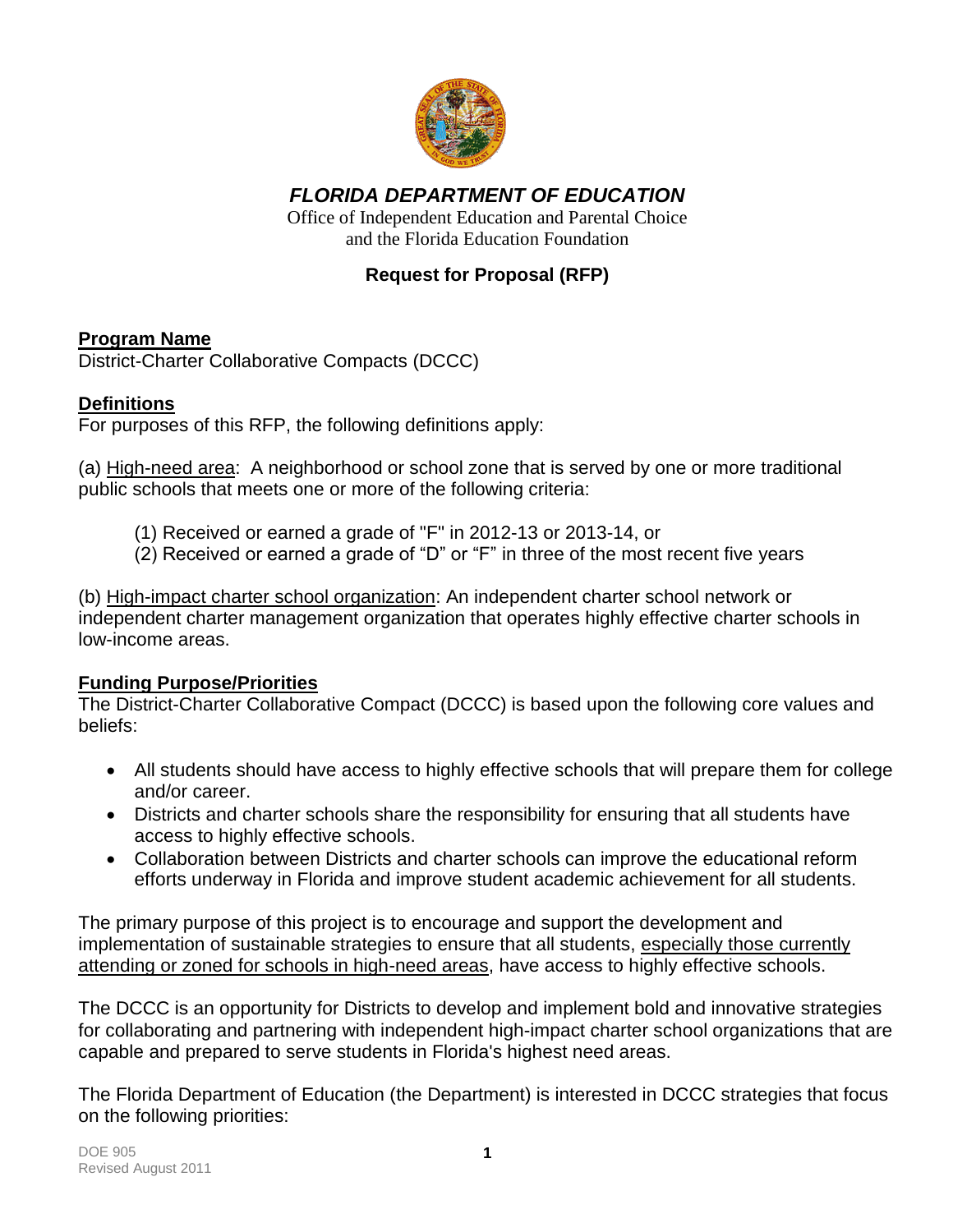

# *FLORIDA DEPARTMENT OF EDUCATION*

Office of Independent Education and Parental Choice and the Florida Education Foundation

# **Request for Proposal (RFP)**

## **Program Name**

District-Charter Collaborative Compacts (DCCC)

#### **Definitions**

For purposes of this RFP, the following definitions apply:

(a) High-need area: A neighborhood or school zone that is served by one or more traditional public schools that meets one or more of the following criteria:

- (1) Received or earned a grade of "F" in 2012-13 or 2013-14, or
- (2) Received or earned a grade of "D" or "F" in three of the most recent five years

(b) High-impact charter school organization: An independent charter school network or independent charter management organization that operates highly effective charter schools in low-income areas.

#### **Funding Purpose/Priorities**

The District-Charter Collaborative Compact (DCCC) is based upon the following core values and beliefs:

- All students should have access to highly effective schools that will prepare them for college and/or career.
- Districts and charter schools share the responsibility for ensuring that all students have access to highly effective schools.
- Collaboration between Districts and charter schools can improve the educational reform efforts underway in Florida and improve student academic achievement for all students.

The primary purpose of this project is to encourage and support the development and implementation of sustainable strategies to ensure that all students, especially those currently attending or zoned for schools in high-need areas, have access to highly effective schools.

The DCCC is an opportunity for Districts to develop and implement bold and innovative strategies for collaborating and partnering with independent high-impact charter school organizations that are capable and prepared to serve students in Florida's highest need areas.

The Florida Department of Education (the Department) is interested in DCCC strategies that focus on the following priorities: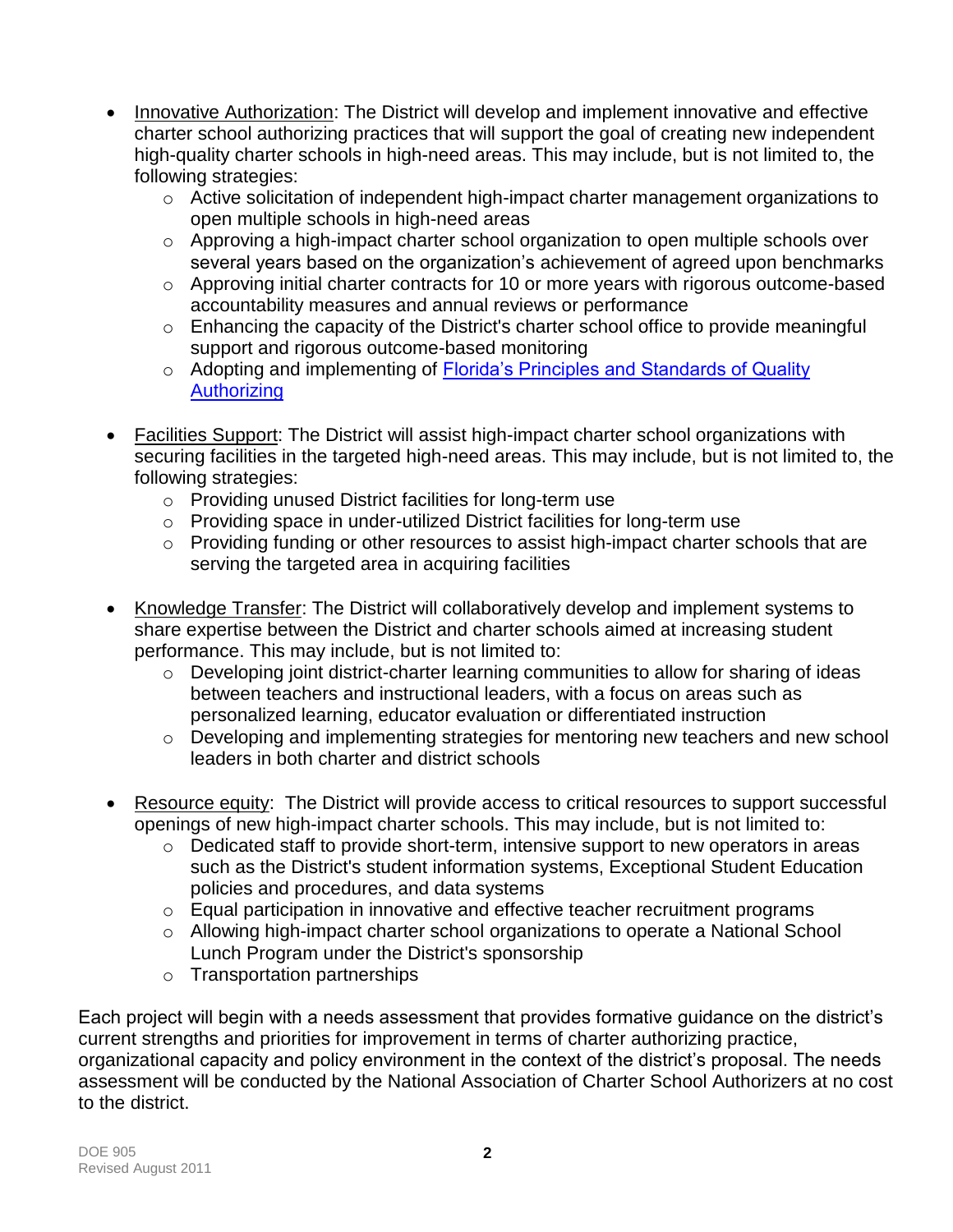- Innovative Authorization: The District will develop and implement innovative and effective charter school authorizing practices that will support the goal of creating new independent high-quality charter schools in high-need areas. This may include, but is not limited to, the following strategies:
	- o Active solicitation of independent high-impact charter management organizations to open multiple schools in high-need areas
	- o Approving a high-impact charter school organization to open multiple schools over several years based on the organization's achievement of agreed upon benchmarks
	- o Approving initial charter contracts for 10 or more years with rigorous outcome-based accountability measures and annual reviews or performance
	- o Enhancing the capacity of the District's charter school office to provide meaningful support and rigorous outcome-based monitoring
	- o Adopting and implementing of [Florida's Principles and Standards of Quality](http://www.fldoe.org/core/fileparse.php/5423/urlt/Florida-Principles-and-Standards-Final-Proof.pdf)  [Authorizing](http://www.fldoe.org/core/fileparse.php/5423/urlt/Florida-Principles-and-Standards-Final-Proof.pdf)
- Facilities Support: The District will assist high-impact charter school organizations with securing facilities in the targeted high-need areas. This may include, but is not limited to, the following strategies:
	- o Providing unused District facilities for long-term use
	- o Providing space in under-utilized District facilities for long-term use
	- o Providing funding or other resources to assist high-impact charter schools that are serving the targeted area in acquiring facilities
- Knowledge Transfer: The District will collaboratively develop and implement systems to share expertise between the District and charter schools aimed at increasing student performance. This may include, but is not limited to:
	- o Developing joint district-charter learning communities to allow for sharing of ideas between teachers and instructional leaders, with a focus on areas such as personalized learning, educator evaluation or differentiated instruction
	- o Developing and implementing strategies for mentoring new teachers and new school leaders in both charter and district schools
- Resource equity: The District will provide access to critical resources to support successful openings of new high-impact charter schools. This may include, but is not limited to:
	- o Dedicated staff to provide short-term, intensive support to new operators in areas such as the District's student information systems, Exceptional Student Education policies and procedures, and data systems
	- o Equal participation in innovative and effective teacher recruitment programs
	- o Allowing high-impact charter school organizations to operate a National School Lunch Program under the District's sponsorship
	- o Transportation partnerships

Each project will begin with a needs assessment that provides formative guidance on the district's current strengths and priorities for improvement in terms of charter authorizing practice, organizational capacity and policy environment in the context of the district's proposal. The needs assessment will be conducted by the National Association of Charter School Authorizers at no cost to the district.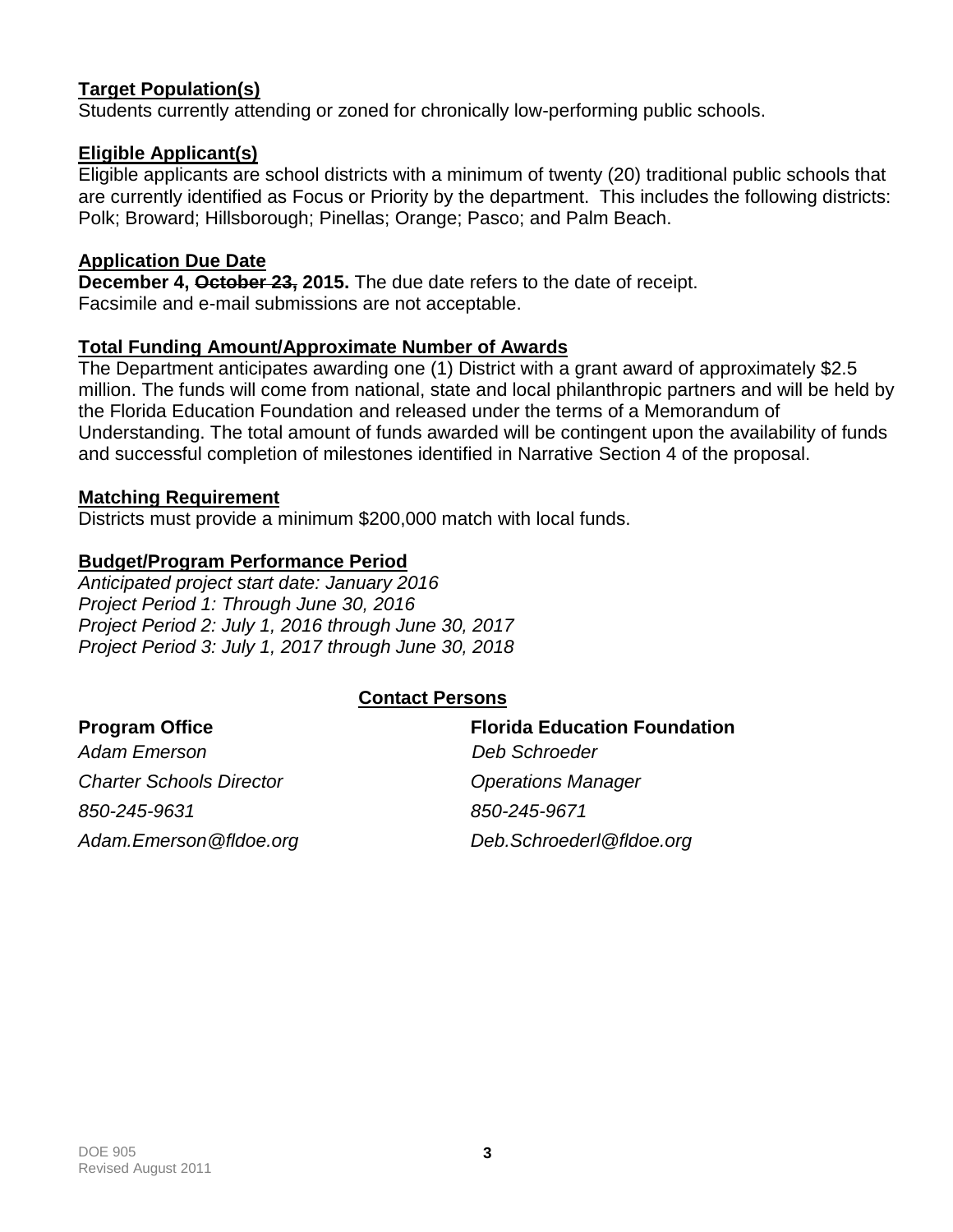#### **Target Population(s)**

Students currently attending or zoned for chronically low-performing public schools.

#### **Eligible Applicant(s)**

Eligible applicants are school districts with a minimum of twenty (20) traditional public schools that are currently identified as Focus or Priority by the department. This includes the following districts: Polk; Broward; Hillsborough; Pinellas; Orange; Pasco; and Palm Beach.

#### **Application Due Date**

**December 4, October 23, 2015.** The due date refers to the date of receipt. Facsimile and e-mail submissions are not acceptable.

#### **Total Funding Amount/Approximate Number of Awards**

The Department anticipates awarding one (1) District with a grant award of approximately \$2.5 million. The funds will come from national, state and local philanthropic partners and will be held by the Florida Education Foundation and released under the terms of a Memorandum of Understanding. The total amount of funds awarded will be contingent upon the availability of funds and successful completion of milestones identified in Narrative Section 4 of the proposal.

#### **Matching Requirement**

Districts must provide a minimum \$200,000 match with local funds.

#### **Budget/Program Performance Period**

*Anticipated project start date: January 2016 Project Period 1: Through June 30, 2016 Project Period 2: July 1, 2016 through June 30, 2017 Project Period 3: July 1, 2017 through June 30, 2018*

#### **Contact Persons**

*Adam Emerson Deb Schroeder Charter Schools Director Operations Manager 850-245-9631 850-245-9671*

**Program Office Constraining Program Office Research Arizon Education Foundation** *Adam.Emerson@fldoe.org Deb.Schroederl@fldoe.org*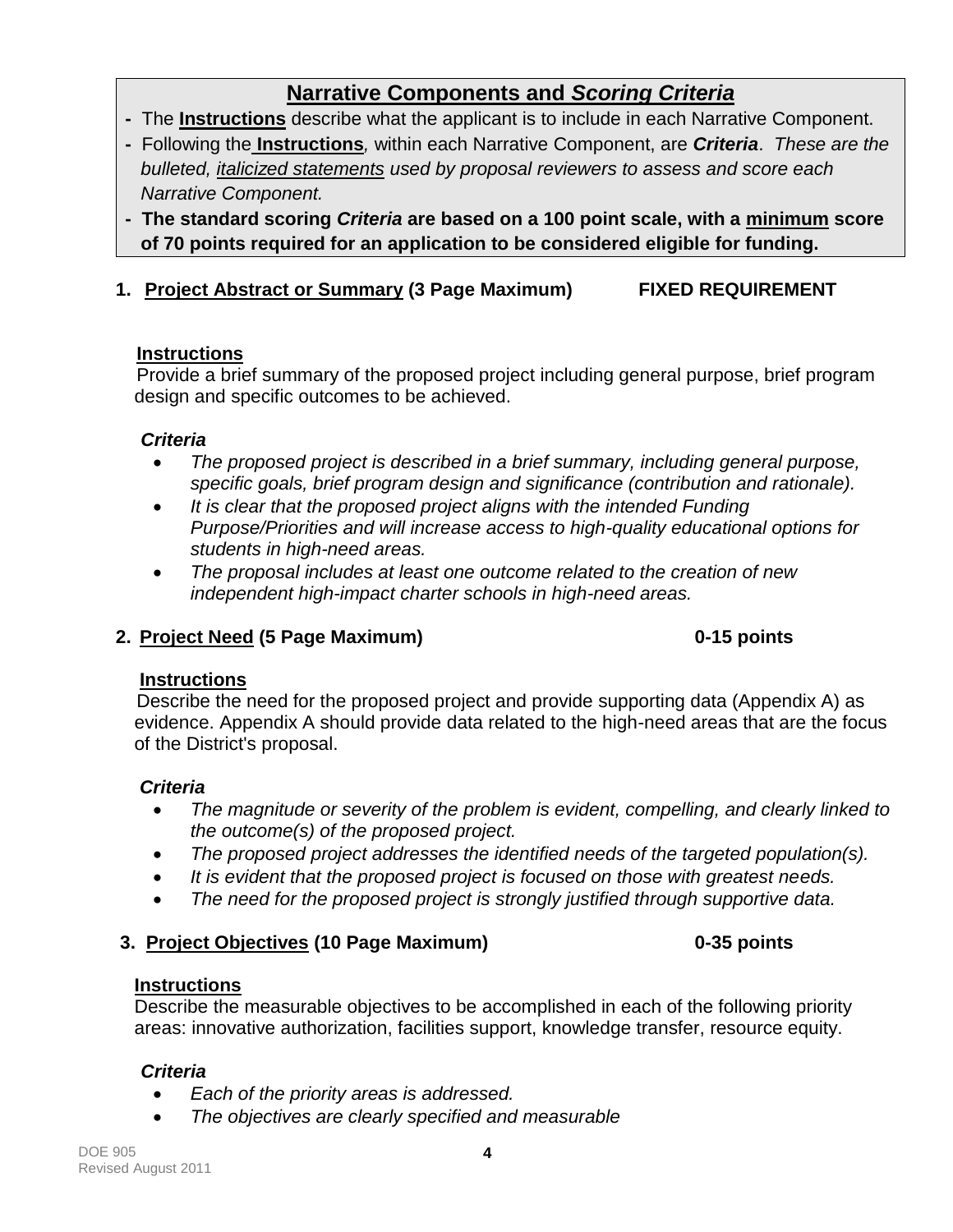# **Narrative Components and** *Scoring Criteria*

- **-** The **Instructions** describe what the applicant is to include in each Narrative Component.
- **-** Following the **Instructions***,* within each Narrative Component, are *Criteria*. *These are the bulleted, italicized statements used by proposal reviewers to assess and score each*  *Narrative Component.*
- **- The standard scoring** *Criteria* **are based on a 100 point scale, with a minimum score of 70 points required for an application to be considered eligible for funding.**

### **1. Project Abstract or Summary (3 Page Maximum) FIXED REQUIREMENT**

#### **Instructions**

Provide a brief summary of the proposed project including general purpose, brief program design and specific outcomes to be achieved.

#### *Criteria*

- *The proposed project is described in a brief summary, including general purpose, specific goals, brief program design and significance (contribution and rationale).*
- *It is clear that the proposed project aligns with the intended Funding Purpose/Priorities and will increase access to high-quality educational options for students in high-need areas.*
- *The proposal includes at least one outcome related to the creation of new independent high-impact charter schools in high-need areas.*

## **2. Project Need (5 Page Maximum) 0-15 points**

#### **Instructions**

Describe the need for the proposed project and provide supporting data (Appendix A) as evidence. Appendix A should provide data related to the high-need areas that are the focus of the District's proposal.

#### *Criteria*

- *The magnitude or severity of the problem is evident, compelling, and clearly linked to the outcome(s) of the proposed project.*
- *The proposed project addresses the identified needs of the targeted population(s).*
- *It is evident that the proposed project is focused on those with greatest needs.*
- *The need for the proposed project is strongly justified through supportive data.*

## **3. Project Objectives (10 Page Maximum) 0-35 points**

#### **Instructions**

Describe the measurable objectives to be accomplished in each of the following priority areas: innovative authorization, facilities support, knowledge transfer, resource equity.

#### *Criteria*

- *Each of the priority areas is addressed.*
- *The objectives are clearly specified and measurable*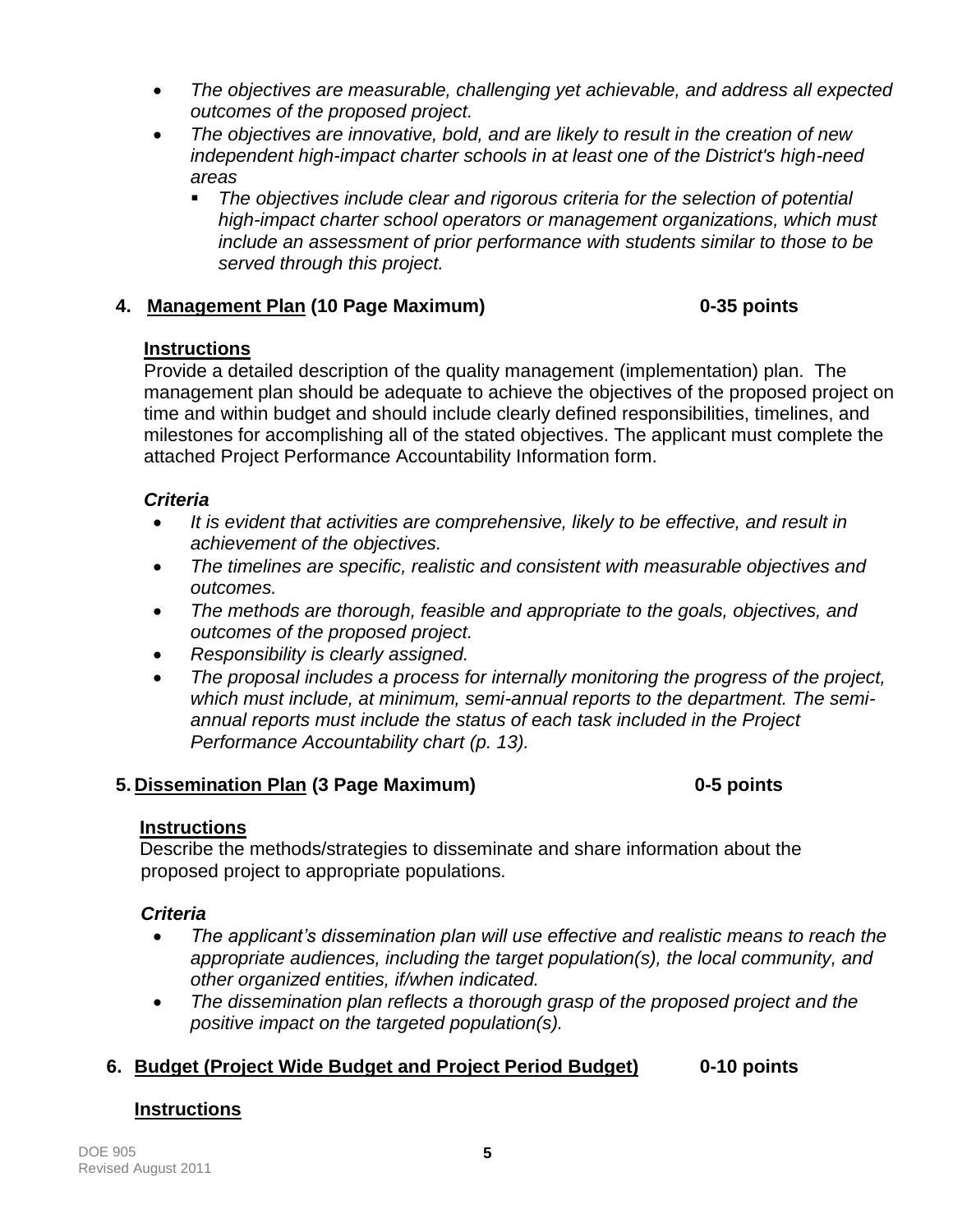- *The objectives are measurable, challenging yet achievable, and address all expected outcomes of the proposed project.*
- *The objectives are innovative, bold, and are likely to result in the creation of new independent high-impact charter schools in at least one of the District's high-need areas*
	- *The objectives include clear and rigorous criteria for the selection of potential high-impact charter school operators or management organizations, which must include an assessment of prior performance with students similar to those to be served through this project.*

# **4. Management Plan (10 Page Maximum) 0-35 points**

#### **Instructions**

Provide a detailed description of the quality management (implementation) plan. The management plan should be adequate to achieve the objectives of the proposed project on time and within budget and should include clearly defined responsibilities, timelines, and milestones for accomplishing all of the stated objectives. The applicant must complete the attached Project Performance Accountability Information form.

## *Criteria*

- *It is evident that activities are comprehensive, likely to be effective, and result in achievement of the objectives.*
- *The timelines are specific, realistic and consistent with measurable objectives and outcomes.*
- *The methods are thorough, feasible and appropriate to the goals, objectives, and outcomes of the proposed project.*
- *Responsibility is clearly assigned.*
- *The proposal includes a process for internally monitoring the progress of the project, which must include, at minimum, semi-annual reports to the department. The semiannual reports must include the status of each task included in the Project Performance Accountability chart (p. 13).*

## **5. Dissemination Plan (3 Page Maximum) 0-5 points**

#### **Instructions**

Describe the methods/strategies to disseminate and share information about the proposed project to appropriate populations.

## *Criteria*

- *The applicant's dissemination plan will use effective and realistic means to reach the appropriate audiences, including the target population(s), the local community, and other organized entities, if/when indicated.*
- *The dissemination plan reflects a thorough grasp of the proposed project and the positive impact on the targeted population(s).*

# **6. Budget (Project Wide Budget and Project Period Budget) 0-10 points**

## **Instructions**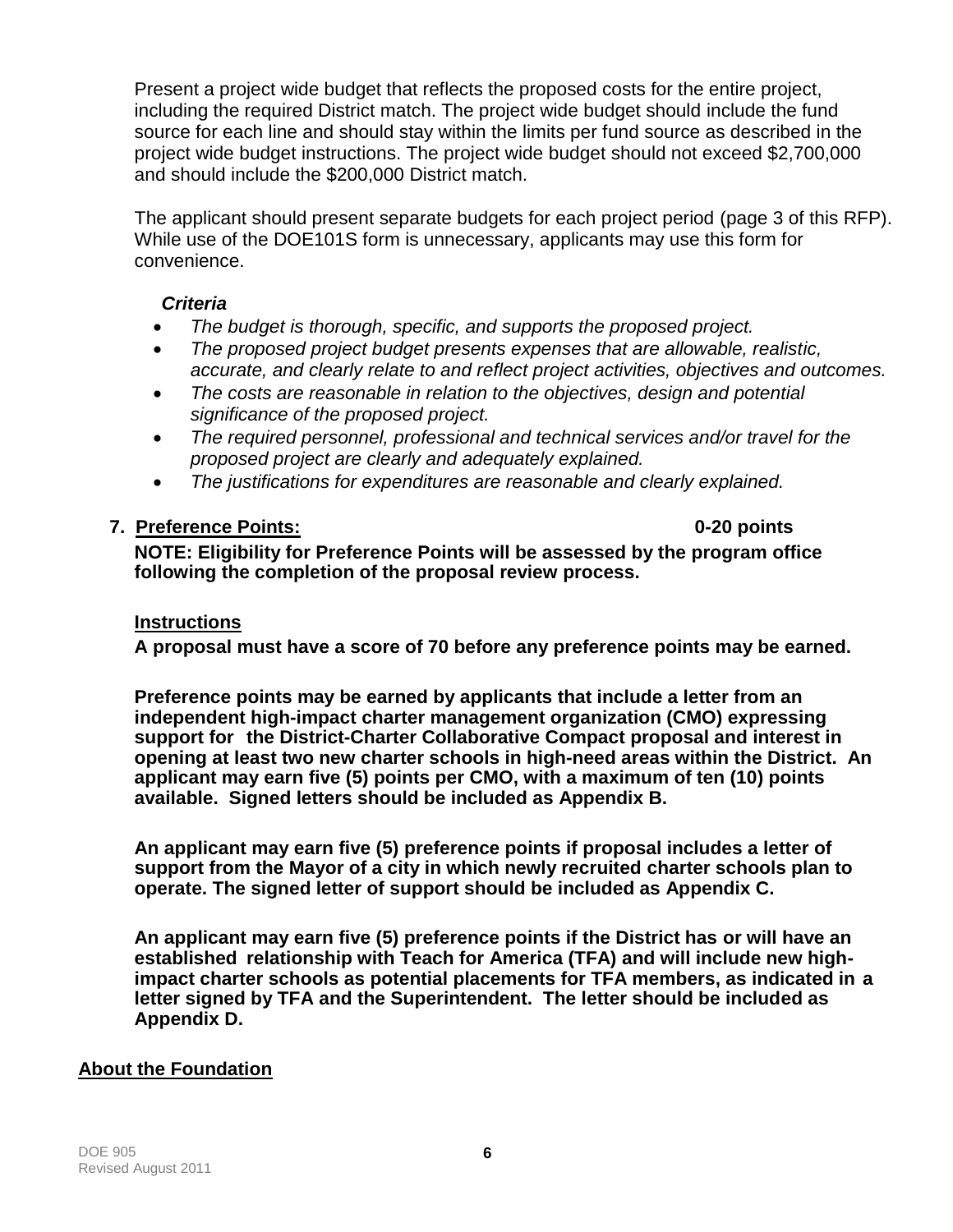Present a project wide budget that reflects the proposed costs for the entire project, including the required District match. The project wide budget should include the fund source for each line and should stay within the limits per fund source as described in the project wide budget instructions. The project wide budget should not exceed \$2,700,000 and should include the \$200,000 District match.

The applicant should present separate budgets for each project period (page 3 of this RFP). While use of the DOE101S form is unnecessary, applicants may use this form for convenience.

### *Criteria*

- *The budget is thorough, specific, and supports the proposed project.*
- *The proposed project budget presents expenses that are allowable, realistic, accurate, and clearly relate to and reflect project activities, objectives and outcomes.*
- *The costs are reasonable in relation to the objectives, design and potential significance of the proposed project.*
- *The required personnel, professional and technical services and/or travel for the proposed project are clearly and adequately explained.*
- *The justifications for expenditures are reasonable and clearly explained.*

#### **7. Preference Points: 0-20 points**

**NOTE: Eligibility for Preference Points will be assessed by the program office following the completion of the proposal review process.**

## **Instructions**

**A proposal must have a score of 70 before any preference points may be earned.** 

**Preference points may be earned by applicants that include a letter from an independent high-impact charter management organization (CMO) expressing support for the District-Charter Collaborative Compact proposal and interest in opening at least two new charter schools in high-need areas within the District. An applicant may earn five (5) points per CMO, with a maximum of ten (10) points available. Signed letters should be included as Appendix B.**

**An applicant may earn five (5) preference points if proposal includes a letter of support from the Mayor of a city in which newly recruited charter schools plan to operate. The signed letter of support should be included as Appendix C.**

**An applicant may earn five (5) preference points if the District has or will have an established relationship with Teach for America (TFA) and will include new highimpact charter schools as potential placements for TFA members, as indicated in a letter signed by TFA and the Superintendent. The letter should be included as Appendix D.**

## **About the Foundation**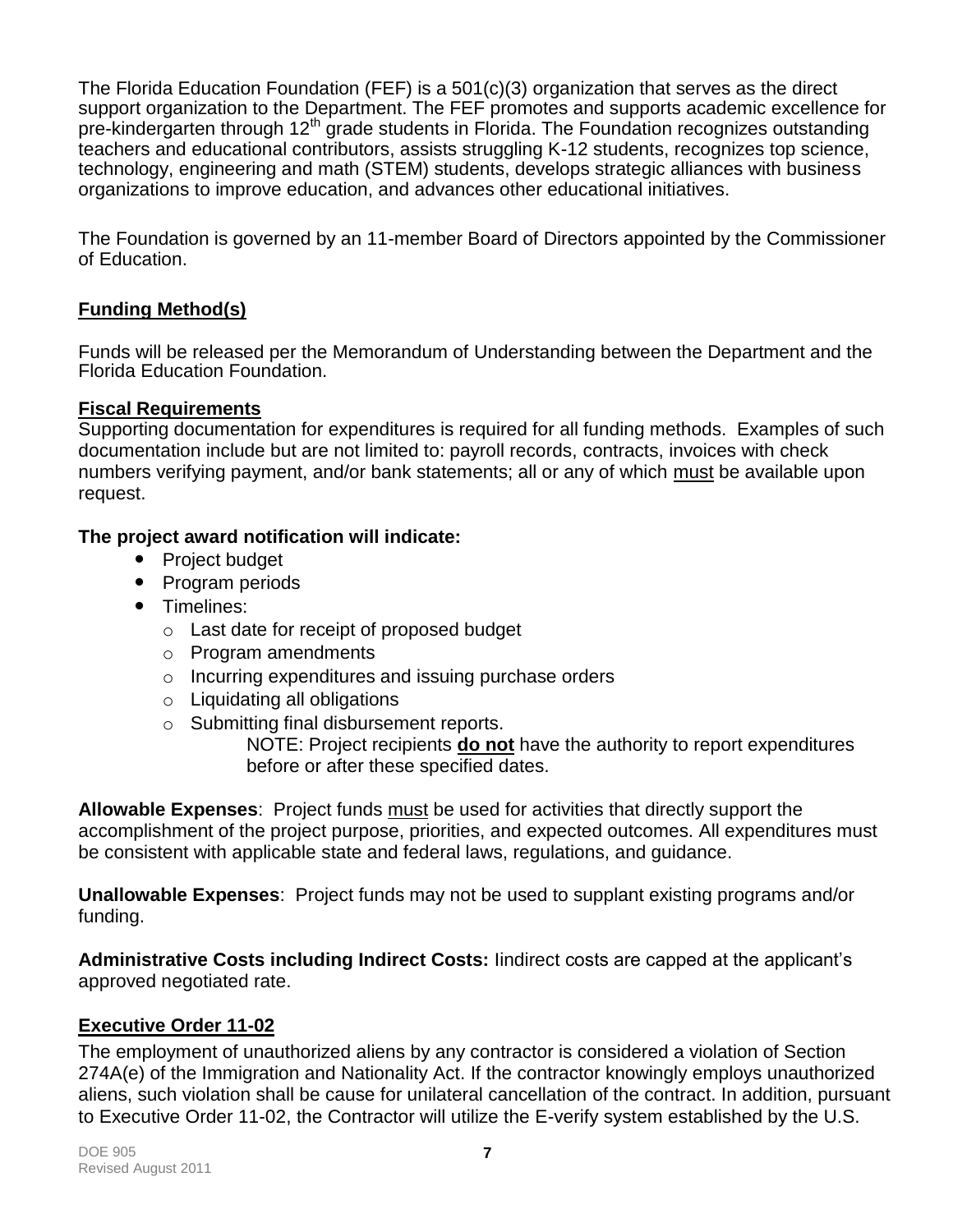The Florida Education Foundation (FEF) is a 501(c)(3) organization that serves as the direct support organization to the Department. The FEF promotes and supports academic excellence for pre-kindergarten through 12<sup>th</sup> grade students in Florida. The Foundation recognizes outstanding teachers and educational contributors, assists struggling K-12 students, recognizes top science, technology, engineering and math (STEM) students, develops strategic alliances with business organizations to improve education, and advances other educational initiatives.

The Foundation is governed by an 11-member Board of Directors appointed by the Commissioner of Education.

# **Funding Method(s)**

Funds will be released per the Memorandum of Understanding between the Department and the Florida Education Foundation.

## **Fiscal Requirements**

Supporting documentation for expenditures is required for all funding methods. Examples of such documentation include but are not limited to: payroll records, contracts, invoices with check numbers verifying payment, and/or bank statements; all or any of which must be available upon request.

# **The project award notification will indicate:**

- Project budget
- Program periods
- Timelines:
	- o Last date for receipt of proposed budget
	- o Program amendments
	- o Incurring expenditures and issuing purchase orders
	- o Liquidating all obligations
	- o Submitting final disbursement reports.

NOTE: Project recipients **do not** have the authority to report expenditures before or after these specified dates.

**Allowable Expenses**: Project funds must be used for activities that directly support the accomplishment of the project purpose, priorities, and expected outcomes. All expenditures must be consistent with applicable state and federal laws, regulations, and guidance.

**Unallowable Expenses**: Project funds may not be used to supplant existing programs and/or funding.

**Administrative Costs including Indirect Costs:** Iindirect costs are capped at the applicant's approved negotiated rate.

# **Executive Order 11-02**

The employment of unauthorized aliens by any contractor is considered a violation of Section 274A(e) of the Immigration and Nationality Act. If the contractor knowingly employs unauthorized aliens, such violation shall be cause for unilateral cancellation of the contract. In addition, pursuant to Executive Order 11-02, the Contractor will utilize the E-verify system established by the U.S.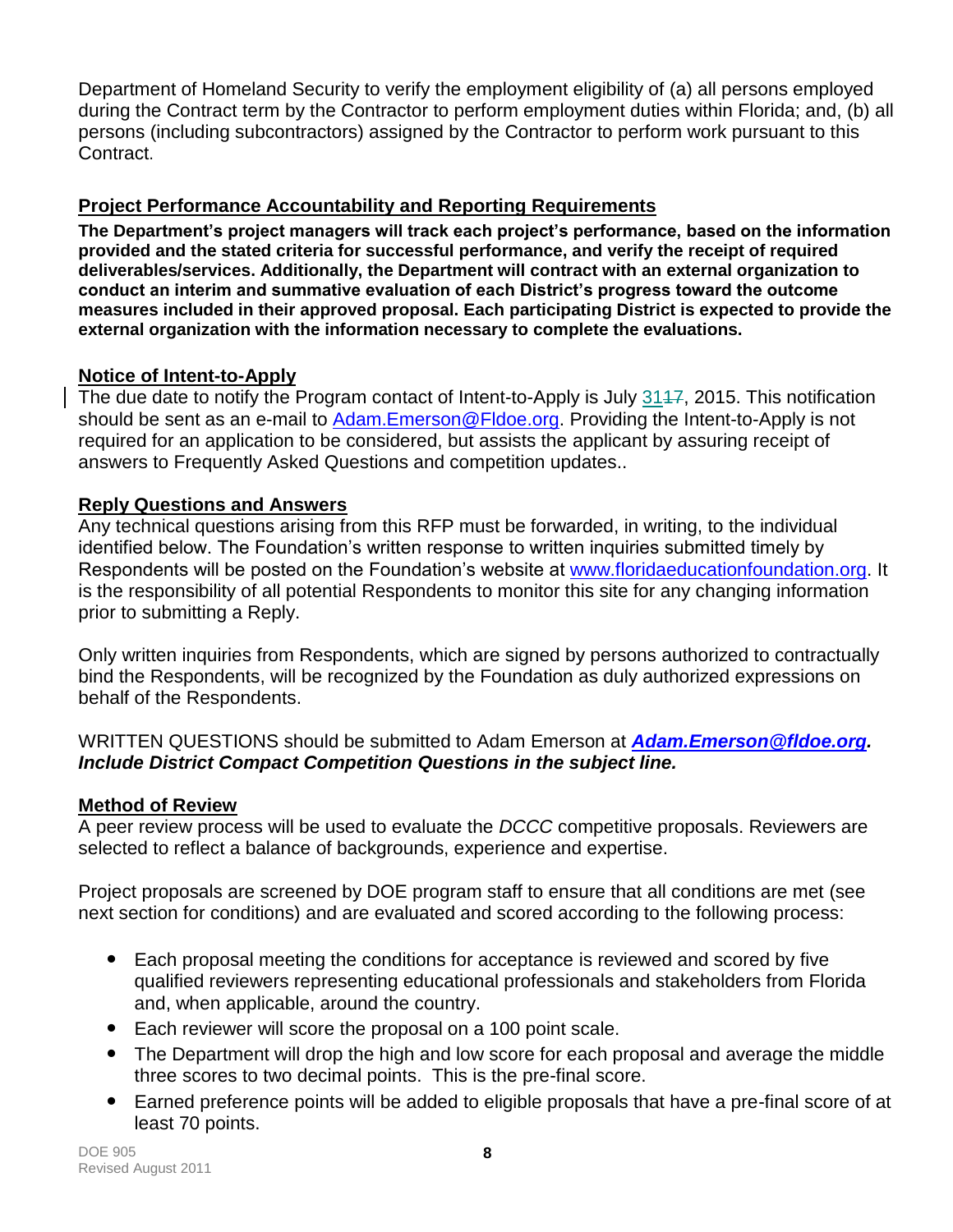Department of Homeland Security to verify the employment eligibility of (a) all persons employed during the Contract term by the Contractor to perform employment duties within Florida; and, (b) all persons (including subcontractors) assigned by the Contractor to perform work pursuant to this Contract.

# **Project Performance Accountability and Reporting Requirements**

**The Department's project managers will track each project's performance, based on the information provided and the stated criteria for successful performance, and verify the receipt of required deliverables/services. Additionally, the Department will contract with an external organization to conduct an interim and summative evaluation of each District's progress toward the outcome measures included in their approved proposal. Each participating District is expected to provide the external organization with the information necessary to complete the evaluations.**

# **Notice of Intent-to-Apply**

The due date to notify the Program contact of Intent-to-Apply is July 3147, 2015. This notification should be sent as an e-mail to [Adam.Emerson@Fldoe.org.](mailto:Adam.Emerson@Fldoe.org) Providing the Intent-to-Apply is not required for an application to be considered, but assists the applicant by assuring receipt of answers to Frequently Asked Questions and competition updates..

# **Reply Questions and Answers**

Any technical questions arising from this RFP must be forwarded, in writing, to the individual identified below. The Foundation's written response to written inquiries submitted timely by Respondents will be posted on the Foundation's website at [www.floridaeducationfoundation.org.](http://www.floridaeducationfoundation.org/) It is the responsibility of all potential Respondents to monitor this site for any changing information prior to submitting a Reply.

Only written inquiries from Respondents, which are signed by persons authorized to contractually bind the Respondents, will be recognized by the Foundation as duly authorized expressions on behalf of the Respondents.

WRITTEN QUESTIONS should be submitted to Adam Emerson at *[Adam.Emerson@fldoe.org.](mailto:Adam.Emerson@fldoe.org) Include District Compact Competition Questions in the subject line.*

## **Method of Review**

A peer review process will be used to evaluate the *DCCC* competitive proposals. Reviewers are selected to reflect a balance of backgrounds, experience and expertise.

Project proposals are screened by DOE program staff to ensure that all conditions are met (see next section for conditions) and are evaluated and scored according to the following process:

- Each proposal meeting the conditions for acceptance is reviewed and scored by five qualified reviewers representing educational professionals and stakeholders from Florida and, when applicable, around the country.
- Each reviewer will score the proposal on a 100 point scale.
- The Department will drop the high and low score for each proposal and average the middle three scores to two decimal points. This is the pre-final score.
- Earned preference points will be added to eligible proposals that have a pre-final score of at least 70 points.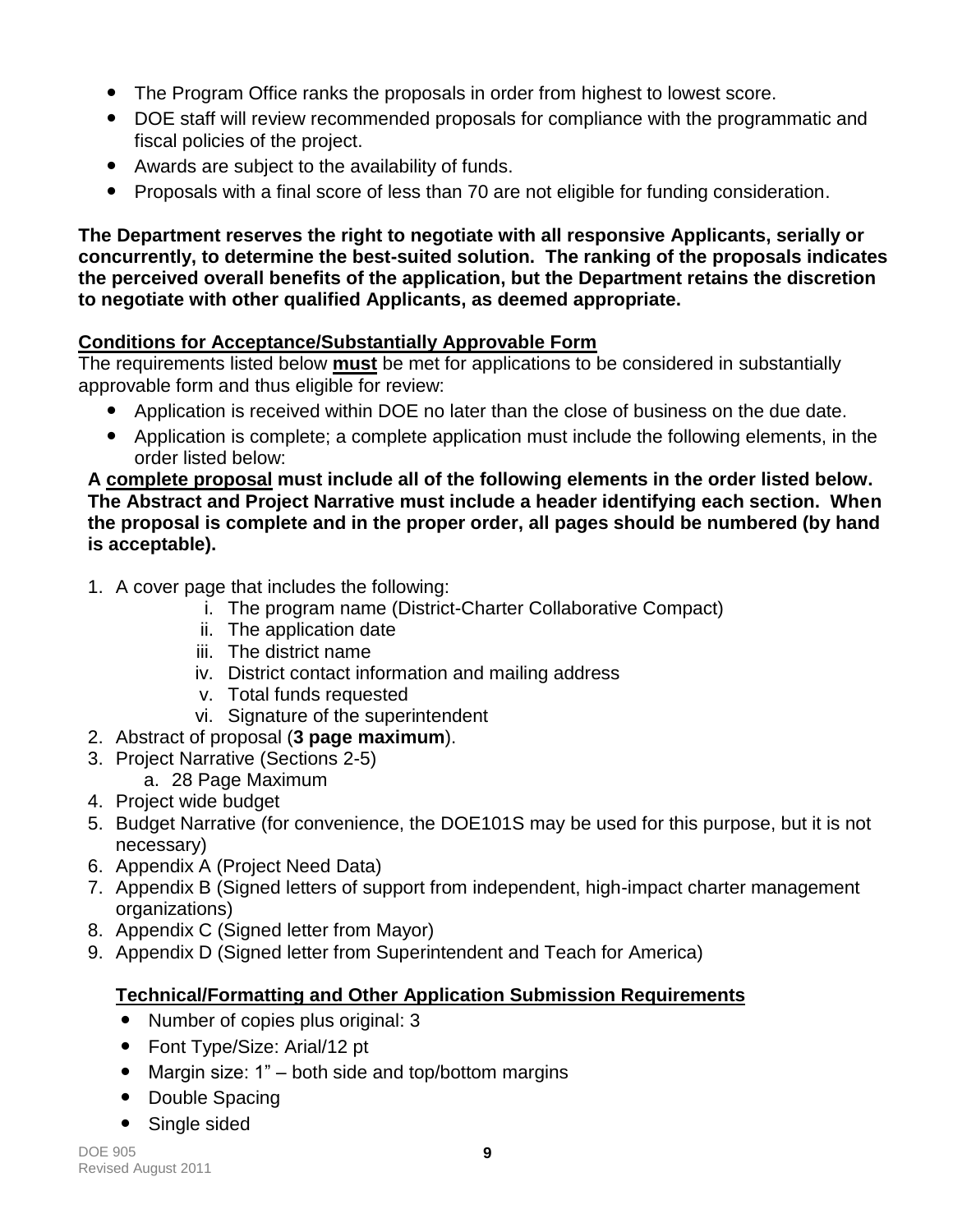- The Program Office ranks the proposals in order from highest to lowest score.
- DOE staff will review recommended proposals for compliance with the programmatic and fiscal policies of the project.
- Awards are subject to the availability of funds.
- Proposals with a final score of less than 70 are not eligible for funding consideration.

**The Department reserves the right to negotiate with all responsive Applicants, serially or concurrently, to determine the best-suited solution. The ranking of the proposals indicates the perceived overall benefits of the application, but the Department retains the discretion to negotiate with other qualified Applicants, as deemed appropriate.** 

# **Conditions for Acceptance/Substantially Approvable Form**

The requirements listed below **must** be met for applications to be considered in substantially approvable form and thus eligible for review:

- Application is received within DOE no later than the close of business on the due date.
- Application is complete; a complete application must include the following elements, in the order listed below:

**A complete proposal must include all of the following elements in the order listed below. The Abstract and Project Narrative must include a header identifying each section. When the proposal is complete and in the proper order, all pages should be numbered (by hand is acceptable).** 

- 1. A cover page that includes the following:
	- i. The program name (District-Charter Collaborative Compact)
	- ii. The application date
	- iii. The district name
	- iv. District contact information and mailing address
	- v. Total funds requested
	- vi. Signature of the superintendent
- 2. Abstract of proposal (**3 page maximum**).
- 3. Project Narrative (Sections 2-5)
	- a. 28 Page Maximum
- 4. Project wide budget
- 5. Budget Narrative (for convenience, the DOE101S may be used for this purpose, but it is not necessary)
- 6. Appendix A (Project Need Data)
- 7. Appendix B (Signed letters of support from independent, high-impact charter management organizations)
- 8. Appendix C (Signed letter from Mayor)
- 9. Appendix D (Signed letter from Superintendent and Teach for America)

# **Technical/Formatting and Other Application Submission Requirements**

- Number of copies plus original: 3
- Font Type/Size: Arial/12 pt
- Margin size: 1" both side and top/bottom margins
- Double Spacing
- Single sided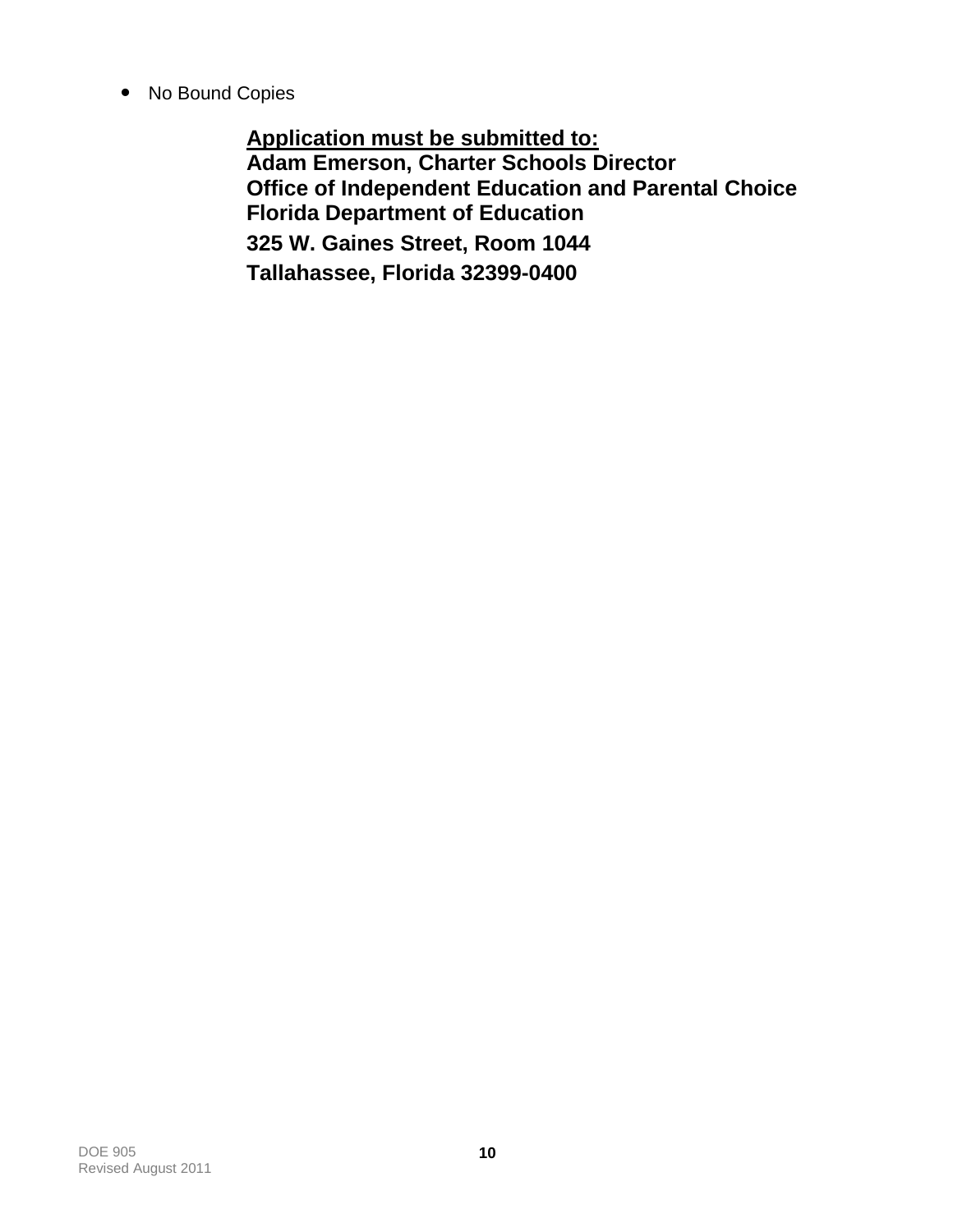• No Bound Copies

**Application must be submitted to: Adam Emerson, Charter Schools Director Office of Independent Education and Parental Choice Florida Department of Education 325 W. Gaines Street, Room 1044 Tallahassee, Florida 32399-0400**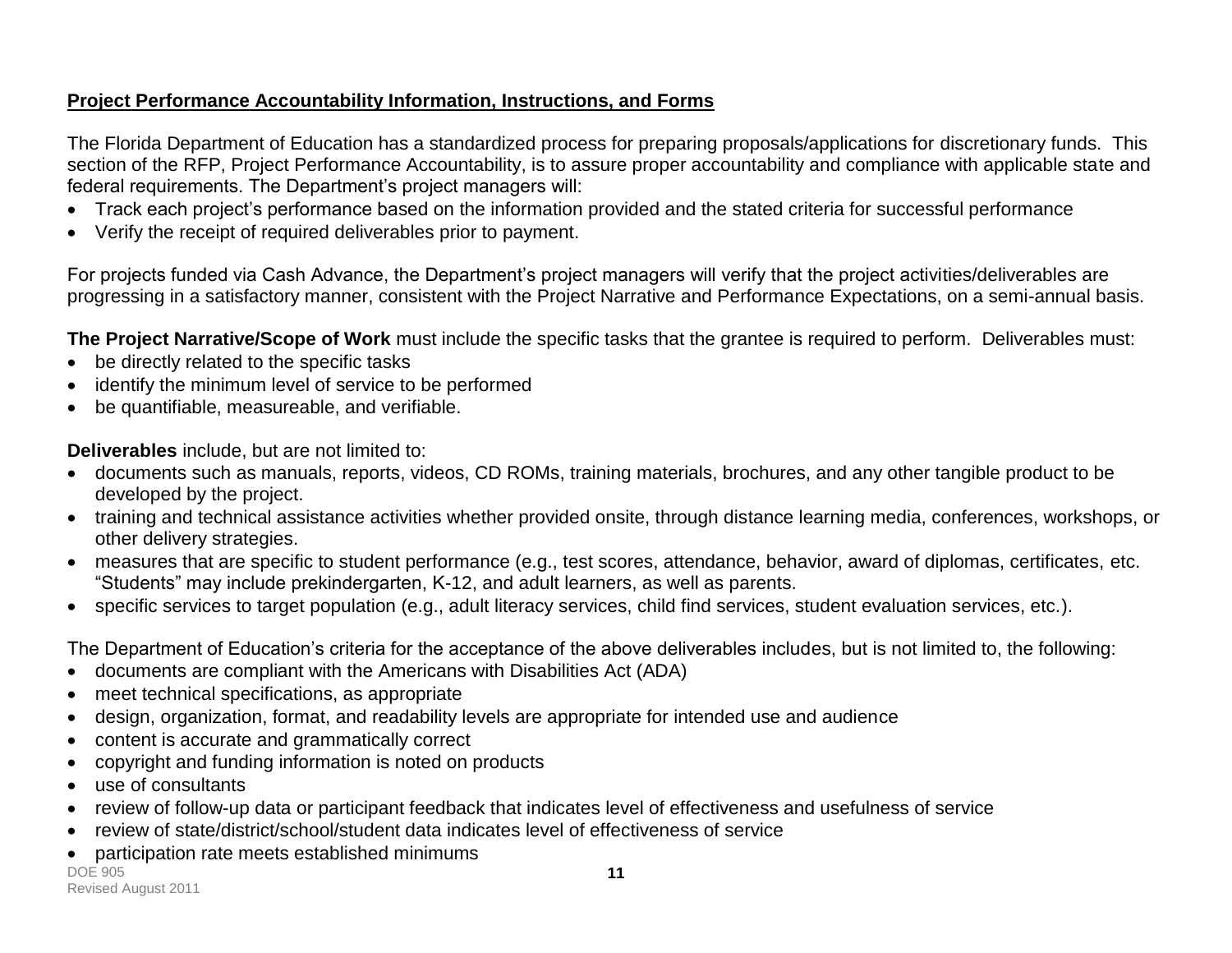# **Project Performance Accountability Information, Instructions, and Forms**

The Florida Department of Education has a standardized process for preparing proposals/applications for discretionary funds. This section of the RFP, Project Performance Accountability, is to assure proper accountability and compliance with applicable state and federal requirements. The Department's project managers will:

- Track each project's performance based on the information provided and the stated criteria for successful performance
- Verify the receipt of required deliverables prior to payment.

For projects funded via Cash Advance, the Department's project managers will verify that the project activities/deliverables are progressing in a satisfactory manner, consistent with the Project Narrative and Performance Expectations, on a semi-annual basis.

**The Project Narrative/Scope of Work** must include the specific tasks that the grantee is required to perform. Deliverables must:

- be directly related to the specific tasks
- identify the minimum level of service to be performed
- be quantifiable, measureable, and verifiable.

**Deliverables** include, but are not limited to:

- documents such as manuals, reports, videos, CD ROMs, training materials, brochures, and any other tangible product to be developed by the project.
- training and technical assistance activities whether provided onsite, through distance learning media, conferences, workshops, or other delivery strategies.
- measures that are specific to student performance (e.g., test scores, attendance, behavior, award of diplomas, certificates, etc. "Students" may include prekindergarten, K-12, and adult learners, as well as parents.
- specific services to target population (e.g., adult literacy services, child find services, student evaluation services, etc.).

The Department of Education's criteria for the acceptance of the above deliverables includes, but is not limited to, the following:

- documents are compliant with the Americans with Disabilities Act (ADA)
- meet technical specifications, as appropriate
- design, organization, format, and readability levels are appropriate for intended use and audience
- content is accurate and grammatically correct
- copyright and funding information is noted on products
- use of consultants
- review of follow-up data or participant feedback that indicates level of effectiveness and usefulness of service
- review of state/district/school/student data indicates level of effectiveness of service
- participation rate meets established minimums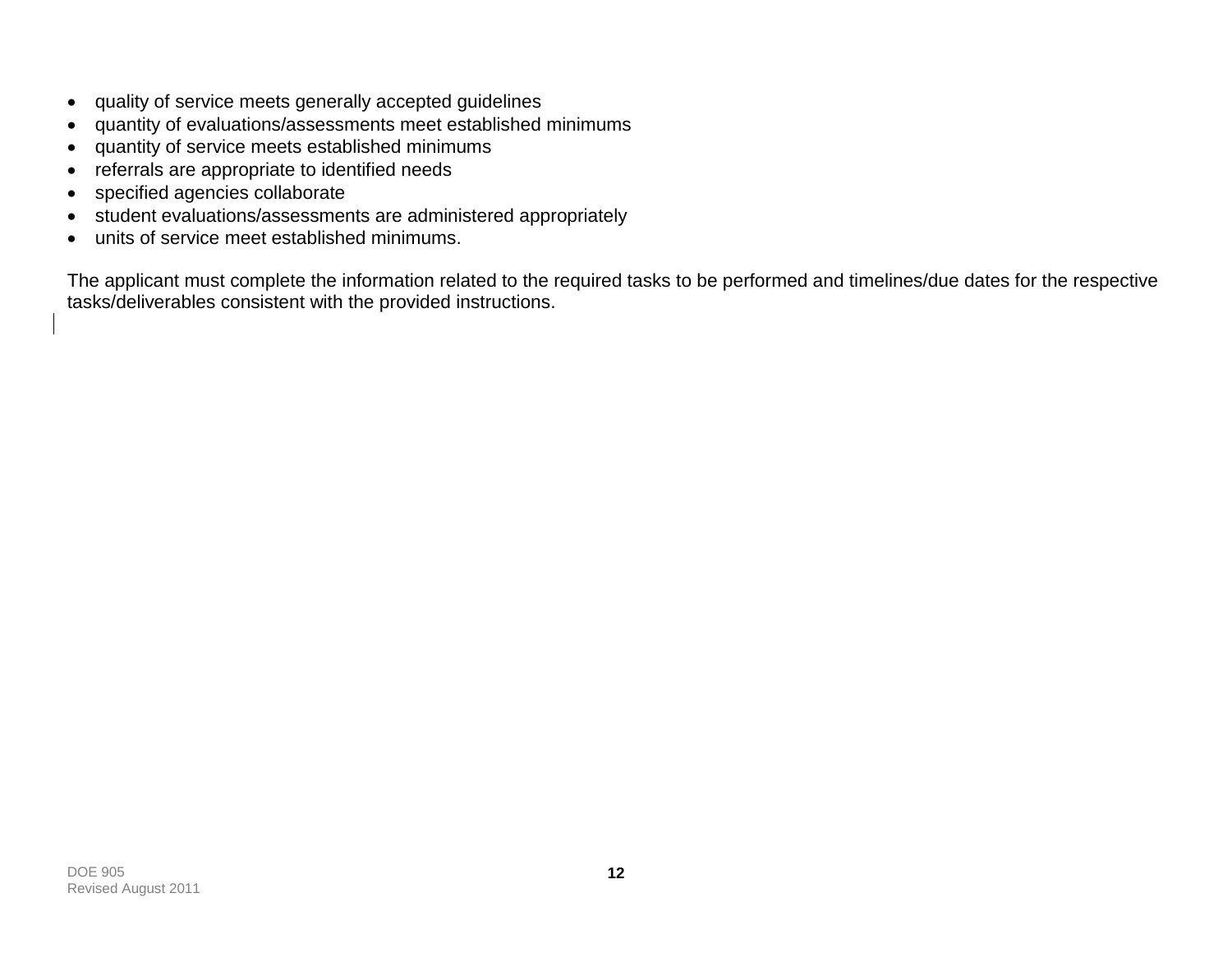- quality of service meets generally accepted guidelines
- quantity of evaluations/assessments meet established minimums
- quantity of service meets established minimums
- referrals are appropriate to identified needs
- specified agencies collaborate
- student evaluations/assessments are administered appropriately
- units of service meet established minimums.

The applicant must complete the information related to the required tasks to be performed and timelines/due dates for the respective tasks/deliverables consistent with the provided instructions.